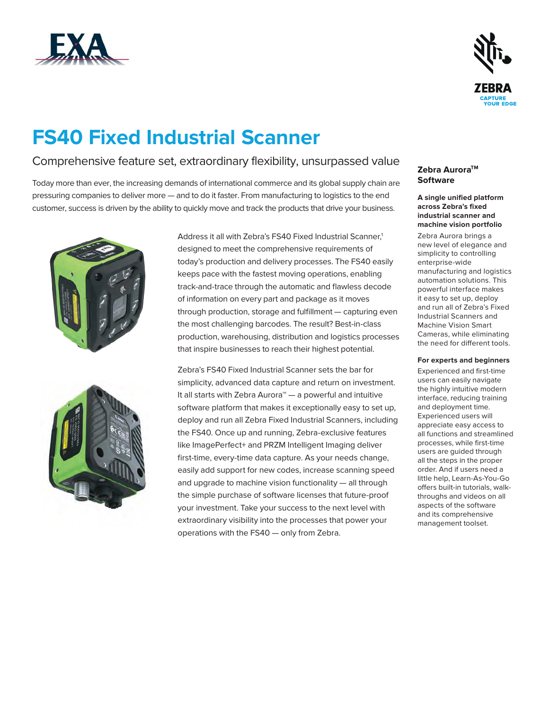



# **FS40 Fixed Industrial Scanner**

### Comprehensive feature set, extraordinary flexibility, unsurpassed value

Today more than ever, the increasing demands of international commerce and its global supply chain are pressuring companies to deliver more — and to do it faster. From manufacturing to logistics to the end customer, success is driven by the ability to quickly move and track the products that drive your business.





Address it all with Zebra's FS40 Fixed Industrial Scanner.<sup>1</sup> designed to meet the comprehensive requirements of today's production and delivery processes. The FS40 easily keeps pace with the fastest moving operations, enabling track-and-trace through the automatic and flawless decode of information on every part and package as it moves through production, storage and fulfillment — capturing even the most challenging barcodes. The result? Best-in-class production, warehousing, distribution and logistics processes that inspire businesses to reach their highest potential.

Zebra's FS40 Fixed Industrial Scanner sets the bar for simplicity, advanced data capture and return on investment. It all starts with Zebra Aurora™ — a powerful and intuitive software platform that makes it exceptionally easy to set up, deploy and run all Zebra Fixed Industrial Scanners, including the FS40. Once up and running, Zebra-exclusive features like ImagePerfect+ and PRZM Intelligent Imaging deliver first-time, every-time data capture. As your needs change, easily add support for new codes, increase scanning speed and upgrade to machine vision functionality — all through the simple purchase of software licenses that future-proof your investment. Take your success to the next level with extraordinary visibility into the processes that power your operations with the FS40 — only from Zebra.

#### **Zebra AuroraTM Software**

**A single unified platform across Zebra's fixed industrial scanner and machine vision portfolio**

Zebra Aurora brings a new level of elegance and simplicity to controlling enterprise-wide manufacturing and logistics automation solutions. This powerful interface makes it easy to set up, deploy and run all of Zebra's Fixed Industrial Scanners and Machine Vision Smart Cameras, while eliminating the need for different tools.

#### **For experts and beginners**

Experienced and first-time users can easily navigate the highly intuitive modern interface, reducing training and deployment time. Experienced users will appreciate easy access to all functions and streamlined processes, while first-time users are guided through all the steps in the proper order. And if users need a little help, Learn-As-You-Go offers built-in tutorials, walkthroughs and videos on all aspects of the software and its comprehensive management toolset.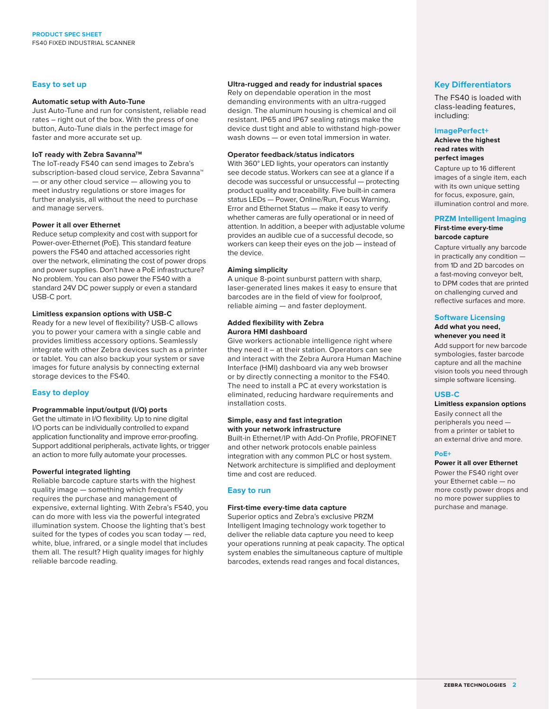#### **Easy to set up**

#### **Automatic setup with Auto-Tune**

Just Auto-Tune and run for consistent, reliable read rates – right out of the box. With the press of one button, Auto-Tune dials in the perfect image for faster and more accurate set up.

#### **IoT ready with Zebra Savanna™**

The IoT-ready FS40 can send images to Zebra's subscription-based cloud service, Zebra Savanna™ — or any other cloud service — allowing you to meet industry regulations or store images for further analysis, all without the need to purchase and manage servers.

#### **Power it all over Ethernet**

Reduce setup complexity and cost with support for Power-over-Ethernet (PoE). This standard feature powers the FS40 and attached accessories right over the network, eliminating the cost of power drops and power supplies. Don't have a PoE infrastructure? No problem. You can also power the FS40 with a standard 24V DC power supply or even a standard USB-C port.

#### **Limitless expansion options with USB-C**

Ready for a new level of flexibility? USB-C allows you to power your camera with a single cable and provides limitless accessory options. Seamlessly integrate with other Zebra devices such as a printer or tablet. You can also backup your system or save images for future analysis by connecting external storage devices to the FS40.

#### **Easy to deploy**

#### **Programmable input/output (I/O) ports**

Get the ultimate in I/O flexibility. Up to nine digital I/O ports can be individually controlled to expand application functionality and improve error-proofing. Support additional peripherals, activate lights, or trigger an action to more fully automate your processes.

#### **Powerful integrated lighting**

Reliable barcode capture starts with the highest quality image — something which frequently requires the purchase and management of expensive, external lighting. With Zebra's FS40, you can do more with less via the powerful integrated illumination system. Choose the lighting that's best suited for the types of codes you scan today — red, white, blue, infrared, or a single model that includes them all. The result? High quality images for highly reliable barcode reading.

#### **Ultra-rugged and ready for industrial spaces**

Rely on dependable operation in the most demanding environments with an ultra-rugged design. The aluminum housing is chemical and oil resistant. IP65 and IP67 sealing ratings make the device dust tight and able to withstand high-power wash downs — or even total immersion in water.

#### **Operator feedback/status indicators**

With 360° LED lights, your operators can instantly see decode status. Workers can see at a glance if a decode was successful or unsuccessful — protecting product quality and traceability. Five built-in camera status LEDs — Power, Online/Run, Focus Warning, Error and Ethernet Status — make it easy to verify whether cameras are fully operational or in need of attention. In addition, a beeper with adjustable volume provides an audible cue of a successful decode, so workers can keep their eyes on the job — instead of the device.

#### **Aiming simplicity**

A unique 8-point sunburst pattern with sharp, laser-generated lines makes it easy to ensure that barcodes are in the field of view for foolproof, reliable aiming — and faster deployment.

#### **Added flexibility with Zebra Aurora HMI dashboard**

Give workers actionable intelligence right where they need it – at their station. Operators can see and interact with the Zebra Aurora Human Machine Interface (HMI) dashboard via any web browser or by directly connecting a monitor to the FS40. The need to install a PC at every workstation is eliminated, reducing hardware requirements and installation costs.

#### **Simple, easy and fast integration with your network infrastructure**

Built-in Ethernet/IP with Add-On Profile, PROFINET and other network protocols enable painless integration with any common PLC or host system. Network architecture is simplified and deployment time and cost are reduced.

#### **Easy to run**

#### **First-time every-time data capture**

Superior optics and Zebra's exclusive PRZM Intelligent Imaging technology work together to deliver the reliable data capture you need to keep your operations running at peak capacity. The optical system enables the simultaneous capture of multiple barcodes, extends read ranges and focal distances,

#### **Key Differentiators**

The FS40 is loaded with class-leading features, including:

#### **ImagePerfect+**

**Achieve the highest read rates with perfect images**

Capture up to 16 different images of a single item, each with its own unique setting for focus, exposure, gain, illumination control and more.

#### **PRZM Intelligent Imaging**

#### **First-time every-time barcode capture**

Capture virtually any barcode in practically any condition from 1D and 2D barcodes on a fast-moving conveyor belt, to DPM codes that are printed on challenging curved and reflective surfaces and more.

#### **Software Licensing**

#### **Add what you need, whenever you need it**

Add support for new barcode symbologies, faster barcode capture and all the machine vision tools you need through simple software licensing.

#### **USB-C**

#### **Limitless expansion options**

Easily connect all the peripherals you need from a printer or tablet to an external drive and more.

#### **PoE+**

#### **Power it all over Ethernet**

Power the FS40 right over your Ethernet cable — no more costly power drops and no more power supplies to purchase and manage.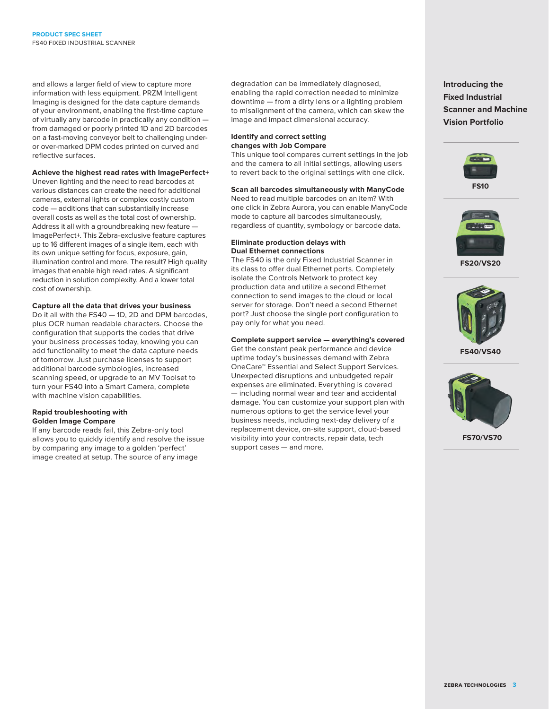and allows a larger field of view to capture more information with less equipment. PRZM Intelligent Imaging is designed for the data capture demands of your environment, enabling the first-time capture of virtually any barcode in practically any condition from damaged or poorly printed 1D and 2D barcodes on a fast-moving conveyor belt to challenging underor over-marked DPM codes printed on curved and reflective surfaces.

#### **Achieve the highest read rates with ImagePerfect+**

Uneven lighting and the need to read barcodes at various distances can create the need for additional cameras, external lights or complex costly custom code — additions that can substantially increase overall costs as well as the total cost of ownership. Address it all with a groundbreaking new feature — ImagePerfect+. This Zebra-exclusive feature captures up to 16 different images of a single item, each with its own unique setting for focus, exposure, gain, illumination control and more. The result? High quality images that enable high read rates. A significant reduction in solution complexity. And a lower total cost of ownership.

#### **Capture all the data that drives your business**

Do it all with the FS40 — 1D, 2D and DPM barcodes, plus OCR human readable characters. Choose the configuration that supports the codes that drive your business processes today, knowing you can add functionality to meet the data capture needs of tomorrow. Just purchase licenses to support additional barcode symbologies, increased scanning speed, or upgrade to an MV Toolset to turn your FS40 into a Smart Camera, complete with machine vision capabilities.

#### **Rapid troubleshooting with Golden Image Compare**

If any barcode reads fail, this Zebra-only tool allows you to quickly identify and resolve the issue by comparing any image to a golden 'perfect' image created at setup. The source of any image

degradation can be immediately diagnosed, enabling the rapid correction needed to minimize downtime — from a dirty lens or a lighting problem to misalignment of the camera, which can skew the image and impact dimensional accuracy.

#### **Identify and correct setting changes with Job Compare**

This unique tool compares current settings in the job and the camera to all initial settings, allowing users to revert back to the original settings with one click.

#### **Scan all barcodes simultaneously with ManyCode**

Need to read multiple barcodes on an item? With one click in Zebra Aurora, you can enable ManyCode mode to capture all barcodes simultaneously, regardless of quantity, symbology or barcode data.

#### **Eliminate production delays with Dual Ethernet connections**

The FS40 is the only Fixed Industrial Scanner in its class to offer dual Ethernet ports. Completely isolate the Controls Network to protect key production data and utilize a second Ethernet connection to send images to the cloud or local server for storage. Don't need a second Ethernet port? Just choose the single port configuration to pay only for what you need.

#### **Complete support service — everything's covered**

Get the constant peak performance and device uptime today's businesses demand with Zebra OneCare™ Essential and Select Support Services. Unexpected disruptions and unbudgeted repair expenses are eliminated. Everything is covered — including normal wear and tear and accidental damage. You can customize your support plan with numerous options to get the service level your business needs, including next-day delivery of a replacement device, on-site support, cloud-based visibility into your contracts, repair data, tech support cases — and more.

**Introducing the Fixed Industrial Scanner and Machine Vision Portfolio**





**FS20/VS20**



**FS40/VS40**



**FS70/VS70**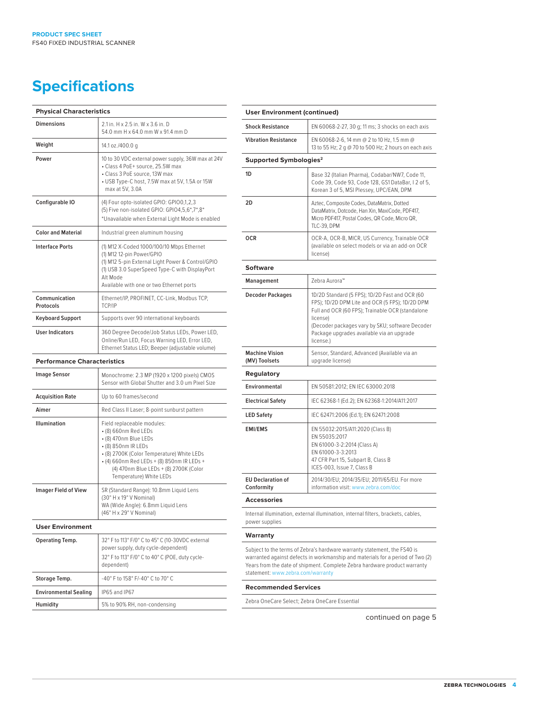### **Specifications**

| <b>Physical Characteristics</b> |                                                                                                                                                                                                                                       |  |  |
|---------------------------------|---------------------------------------------------------------------------------------------------------------------------------------------------------------------------------------------------------------------------------------|--|--|
| <b>Dimensions</b>               | 2.1 in. H x 2.5 in. W x 3.6 in. D<br>54.0 mm H x 64.0 mm W x 91.4 mm D                                                                                                                                                                |  |  |
| Weight                          | 14.1 oz./400.0 g                                                                                                                                                                                                                      |  |  |
| Power                           | 10 to 30 VDC external power supply, 36W max at 24V<br>· Class 4 PoE+ source, 25.5W max<br>• Class 3 PoE source, 13W max<br>• USB Type-C host, 7.5W max at 5V, 1.5A or 15W<br>max at 5V, 3.0A                                          |  |  |
| Configurable IO                 | (4) Four opto-isolated GPIO: GPIO0,1,2,3<br>(5) Five non-isolated GPIO: GPIO4,5,6*,7*,8*<br>*Unavailable when External Light Mode is enabled                                                                                          |  |  |
| <b>Color and Material</b>       | Industrial green aluminum housing                                                                                                                                                                                                     |  |  |
| <b>Interface Ports</b>          | (1) M12 X-Coded 1000/100/10 Mbps Ethernet<br>(1) M12 12-pin Power/GPIO<br>(1) M12 5-pin External Light Power & Control/GPIO<br>(1) USB 3.0 SuperSpeed Type-C with DisplayPort<br>Alt Mode<br>Available with one or two Ethernet ports |  |  |
| Communication<br>Protocols      | Ethernet/IP, PROFINET, CC-Link, Modbus TCP,<br>TCP/IP                                                                                                                                                                                 |  |  |
| <b>Keyboard Support</b>         | Supports over 90 international keyboards                                                                                                                                                                                              |  |  |
| <b>User Indicators</b>          | 360 Degree Decode/Job Status LEDs, Power LED,<br>Online/Run LED, Focus Warning LED, Error LED,<br>Ethernet Status LED; Beeper (adjustable volume)                                                                                     |  |  |
|                                 | .<br><b>D</b> <i>E</i>                                                                                                                                                                                                                |  |  |

#### **Performance Characteristics**

| <b>Image Sensor</b>          | Monochrome: 2.3 MP (1920 x 1200 pixels) CMOS<br>Sensor with Global Shutter and 3.0 um Pixel Size                                                                                                                                                                    |  |  |
|------------------------------|---------------------------------------------------------------------------------------------------------------------------------------------------------------------------------------------------------------------------------------------------------------------|--|--|
| <b>Acquisition Rate</b>      | Up to 60 frames/second                                                                                                                                                                                                                                              |  |  |
| Aimer                        | Red Class II Laser; 8-point sunburst pattern                                                                                                                                                                                                                        |  |  |
| Illumination                 | Field replaceable modules:<br>• (8) 660nm Red LEDs<br>• (8) 470nm Blue LEDs<br>• (8) 850nm IR LEDs<br>• (8) 2700K (Color Temperature) White LEDs<br>• (4) 660nm Red LEDs + (8) 850nm IR LEDs +<br>(4) 470nm Blue LEDs + (8) 2700K (Color<br>Temperature) White LEDs |  |  |
| <b>Imager Field of View</b>  | SR (Standard Range): 10.8mm Liquid Lens<br>(30° H x 19° V Nominal)<br>WA (Wide Angle): 6.8mm Liquid Lens<br>(46° H x 29° V Nominal)                                                                                                                                 |  |  |
| <b>User Environment</b>      |                                                                                                                                                                                                                                                                     |  |  |
| Operating Temp.              | 32° F to 113° F/0° C to 45° C (10-30VDC external<br>power supply, duty cycle-dependent)<br>32° F to 113° F/0° C to 40° C (POE, duty cycle-<br>dependent)                                                                                                            |  |  |
| Storage Temp.                | -40° F to 158° F/-40° C to 70° C                                                                                                                                                                                                                                    |  |  |
| <b>Environmental Sealing</b> | IP65 and IP67                                                                                                                                                                                                                                                       |  |  |
| Humidity                     | 5% to 90% RH, non-condensing                                                                                                                                                                                                                                        |  |  |

| <b>User Environment (continued)</b>                                                                                                                        |                                                                                                                                                                                                                                                                                |  |  |  |
|------------------------------------------------------------------------------------------------------------------------------------------------------------|--------------------------------------------------------------------------------------------------------------------------------------------------------------------------------------------------------------------------------------------------------------------------------|--|--|--|
| <b>Shock Resistance</b>                                                                                                                                    | EN 60068-2-27, 30 g; 11 ms; 3 shocks on each axis                                                                                                                                                                                                                              |  |  |  |
| <b>Vibration Resistance</b>                                                                                                                                | EN 60068-2-6, 14 mm @ 2 to 10 Hz, 1.5 mm @<br>13 to 55 Hz; 2 g @ 70 to 500 Hz; 2 hours on each axis                                                                                                                                                                            |  |  |  |
| Supported Symbologies <sup>2</sup>                                                                                                                         |                                                                                                                                                                                                                                                                                |  |  |  |
| 1D                                                                                                                                                         | Base 32 (Italian Pharma), Codabar/NW7, Code 11,<br>Code 39, Code 93, Code 128, GS1 DataBar, I 2 of 5,<br>Korean 3 of 5, MSI Plessey, UPC/EAN, DPM                                                                                                                              |  |  |  |
| 2D                                                                                                                                                         | Aztec, Composite Codes, DataMatrix, Dotted<br>DataMatrix, Dotcode, Han Xin, MaxiCode, PDF417,<br>Micro PDF417, Postal Codes, QR Code, Micro QR,<br>TLC-39, DPM                                                                                                                 |  |  |  |
| <b>OCR</b>                                                                                                                                                 | OCR-A, OCR-B, MICR, US Currency, Trainable OCR<br>(available on select models or via an add-on OCR<br>license)                                                                                                                                                                 |  |  |  |
| <b>Software</b>                                                                                                                                            |                                                                                                                                                                                                                                                                                |  |  |  |
| Management                                                                                                                                                 | Zebra Aurora™                                                                                                                                                                                                                                                                  |  |  |  |
| <b>Decoder Packages</b>                                                                                                                                    | 1D/2D Standard (5 FPS); 1D/2D Fast and OCR (60<br>FPS); 1D/2D DPM Lite and OCR (5 FPS); 1D/2D DPM<br>Full and OCR (60 FPS); Trainable OCR (standalone<br>license)<br>(Decoder packages vary by SKU; software Decoder<br>Package upgrades available via an upgrade<br>license.) |  |  |  |
| <b>Machine Vision</b><br>(MV) Toolsets                                                                                                                     | Sensor, Standard, Advanced (Available via an<br>upgrade license)                                                                                                                                                                                                               |  |  |  |
| <b>Regulatory</b>                                                                                                                                          |                                                                                                                                                                                                                                                                                |  |  |  |
| Environmental                                                                                                                                              | EN 50581:2012; EN IEC 63000:2018                                                                                                                                                                                                                                               |  |  |  |
| <b>Electrical Safety</b>                                                                                                                                   | IEC 62368-1 (Ed.2); EN 62368-1:2014/A11:2017                                                                                                                                                                                                                                   |  |  |  |
| <b>LED Safety</b>                                                                                                                                          | IEC 62471:2006 (Ed.1); EN 62471:2008                                                                                                                                                                                                                                           |  |  |  |
| <b>EMI/EMS</b>                                                                                                                                             | EN 55032:2015/A11:2020 (Class B)<br>EN 55035:2017<br>EN 61000-3-2:2014 (Class A)<br>EN 61000-3-3:2013<br>47 CFR Part 15, Subpart B, Class B<br>ICES-003, Issue 7, Class B                                                                                                      |  |  |  |
| <b>EU Declaration of</b><br>Conformity                                                                                                                     | 2014/30/EU; 2014/35/EU; 2011/65/EU. For more<br>information visit: www.zebra.com/doc                                                                                                                                                                                           |  |  |  |
| <b>Accessories</b>                                                                                                                                         |                                                                                                                                                                                                                                                                                |  |  |  |
| Internal illumination, external illumination, internal filters, brackets, cables,<br>power supplies                                                        |                                                                                                                                                                                                                                                                                |  |  |  |
| Warranty                                                                                                                                                   |                                                                                                                                                                                                                                                                                |  |  |  |
| Subject to the terms of Zebra's hardware warranty statement, the FS40 is<br>warranted against defects in workmanship and materials for a period of Two (2) |                                                                                                                                                                                                                                                                                |  |  |  |

warranted against defects in workmanship and materials for a period of Two (2) Years from the date of shipment. Complete Zebra hardware product warranty statement: [www.zebra.com/warranty](http://www.zebra.com/warranty)

#### **Recommended Services**

Zebra OneCare Select; Zebra OneCare Essential

continued on page 5